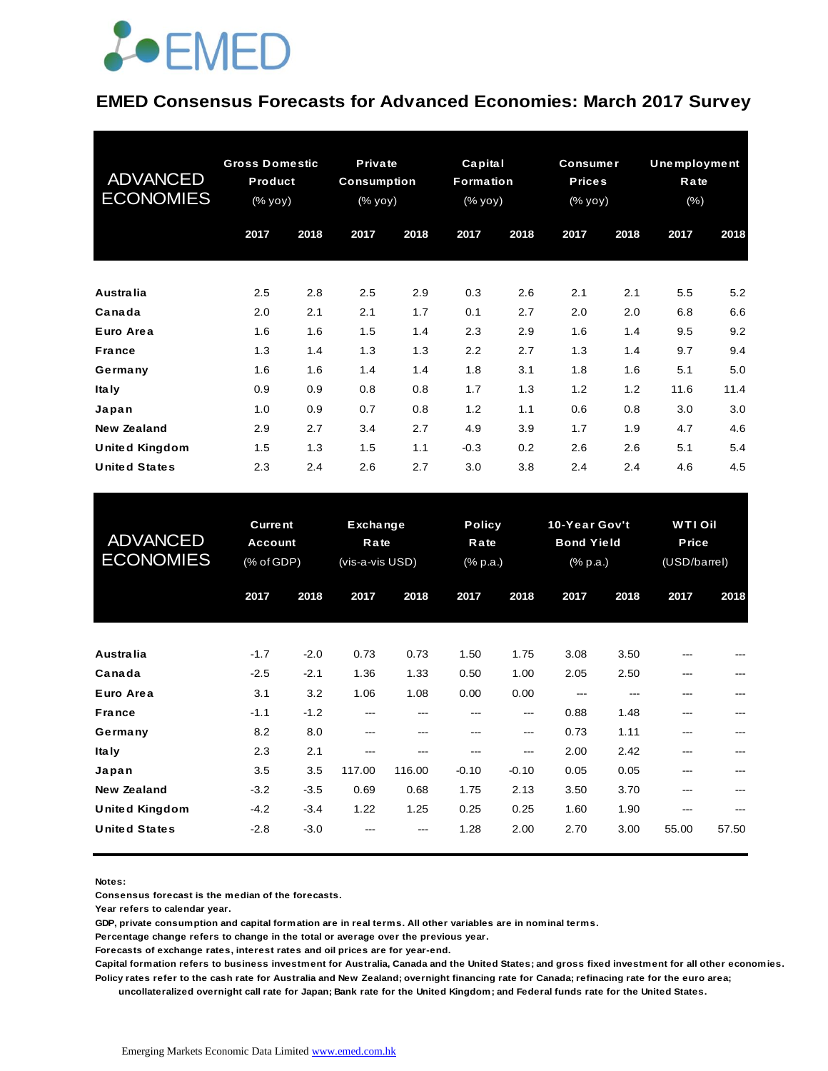

#### **EMED Consensus Forecasts for Advanced Economies: March 2017 Survey**

| <b>ADVANCED</b><br><b>ECONOMIES</b> | <b>Gross Domestic</b><br><b>Product</b><br>(% yoy) |      | Private<br><b>Consumption</b><br>(% yoy) |      | Capital<br>Formation<br>(% yoy) |      | <b>Consumer</b><br><b>Prices</b><br>(% yoy) |      | <b>Unemployment</b><br>Rate<br>(% ) |      |
|-------------------------------------|----------------------------------------------------|------|------------------------------------------|------|---------------------------------|------|---------------------------------------------|------|-------------------------------------|------|
|                                     | 2017                                               | 2018 | 2017                                     | 2018 | 2017                            | 2018 | 2017                                        | 2018 | 2017                                | 2018 |
| <b>Australia</b>                    | 2.5                                                | 2.8  | 2.5                                      | 2.9  | 0.3                             | 2.6  | 2.1                                         | 2.1  | 5.5                                 | 5.2  |
| Canada                              | 2.0                                                | 2.1  | 2.1                                      | 1.7  | 0.1                             | 2.7  | 2.0                                         | 2.0  | 6.8                                 | 6.6  |
| Euro Area                           | 1.6                                                | 1.6  | 1.5                                      | 1.4  | 2.3                             | 2.9  | 1.6                                         | 1.4  | 9.5                                 | 9.2  |
| <b>France</b>                       | 1.3                                                | 1.4  | 1.3                                      | 1.3  | 2.2                             | 2.7  | 1.3                                         | 1.4  | 9.7                                 | 9.4  |
| Germany                             | 1.6                                                | 1.6  | 1.4                                      | 1.4  | 1.8                             | 3.1  | 1.8                                         | 1.6  | 5.1                                 | 5.0  |
| <b>Italy</b>                        | 0.9                                                | 0.9  | 0.8                                      | 0.8  | 1.7                             | 1.3  | 1.2                                         | 1.2  | 11.6                                | 11.4 |
| Japan                               | 1.0                                                | 0.9  | 0.7                                      | 0.8  | 1.2                             | 1.1  | 0.6                                         | 0.8  | 3.0                                 | 3.0  |
| <b>New Zealand</b>                  | 2.9                                                | 2.7  | 3.4                                      | 2.7  | 4.9                             | 3.9  | 1.7                                         | 1.9  | 4.7                                 | 4.6  |
| <b>United Kingdom</b>               | 1.5                                                | 1.3  | 1.5                                      | 1.1  | $-0.3$                          | 0.2  | 2.6                                         | 2.6  | 5.1                                 | 5.4  |
| <b>United States</b>                | 2.3                                                | 2.4  | 2.6                                      | 2.7  | 3.0                             | 3.8  | 2.4                                         | 2.4  | 4.6                                 | 4.5  |

| <b>United States</b>                        | 2.3                                            | 2.4              | 2.6                                 | 2.7           | 3.0                               | 3.8            | 2.4                                                               | 2.4          | 4.6                                            | 4.5   |
|---------------------------------------------|------------------------------------------------|------------------|-------------------------------------|---------------|-----------------------------------|----------------|-------------------------------------------------------------------|--------------|------------------------------------------------|-------|
| <b>ADVANCED</b><br><b>ECONOMIES</b>         | <b>Current</b><br><b>Account</b><br>(% of GDP) |                  | Exchange<br>Rate<br>(vis-a-vis USD) |               | <b>Policy</b><br>Rate<br>(% p.a.) |                | 10-Year Gov't<br><b>Bond Yield</b><br>$(% \mathbb{R}^2)$ (% p.a.) |              | <b>WTI Oil</b><br><b>Price</b><br>(USD/barrel) |       |
|                                             | 2017                                           | 2018             | 2017                                | 2018          | 2017                              | 2018           | 2017                                                              | 2018         | 2017                                           | 2018  |
| <b>Australia</b>                            | $-1.7$                                         | $-2.0$           | 0.73                                | 0.73          | 1.50                              | 1.75           | 3.08                                                              | 3.50         |                                                |       |
| Canada<br>Euro Area                         | $-2.5$<br>3.1                                  | $-2.1$<br>3.2    | 1.36<br>1.06                        | 1.33<br>1.08  | 0.50<br>0.00                      | 1.00<br>0.00   | 2.05<br>---                                                       | 2.50<br>---  | ---<br>---                                     |       |
| <b>France</b><br>Germany                    | $-1.1$<br>8.2                                  | $-1.2$<br>8.0    | ---<br>---                          | ---           | $- - -$                           | $---$<br>---   | 0.88<br>0.73                                                      | 1.48<br>1.11 | ---<br>---                                     | ---   |
| <b>Italy</b><br>Japan                       | 2.3<br>3.5                                     | 2.1<br>3.5       | ---<br>117.00                       | ---<br>116.00 | ---<br>$-0.10$                    | ---<br>$-0.10$ | 2.00<br>0.05                                                      | 2.42<br>0.05 | ---<br>---                                     | ---   |
| <b>New Zealand</b><br><b>United Kingdom</b> | $-3.2$<br>$-4.2$                               | $-3.5$<br>$-3.4$ | 0.69<br>1.22                        | 0.68<br>1.25  | 1.75<br>0.25                      | 2.13<br>0.25   | 3.50<br>1.60                                                      | 3.70<br>1.90 | ---<br>---                                     | ---   |
| <b>United States</b>                        | $-2.8$                                         | $-3.0$           |                                     |               | 1.28                              | 2.00           | 2.70                                                              | 3.00         | 55.00                                          | 57.50 |

**Notes:** 

**Consensus forecast is the median of the forecasts.**

**Year refers to calendar year.**

**GDP, private consumption and capital formation are in real terms. All other variables are in nominal terms.**

**Percentage change refers to change in the total or average over the previous year.**

**Forecasts of exchange rates, interest rates and oil prices are for year-end.**

**Capital formation refers to business investment for Australia, Canada and the United States; and gross fixed investment for all other economies. Policy rates refer to the cash rate for Australia and New Zealand; overnight financing rate for Canada; refinacing rate for the euro area;** 

 **uncollateralized overnight call rate for Japan; Bank rate for the United Kingdom; and Federal funds rate for the United States.**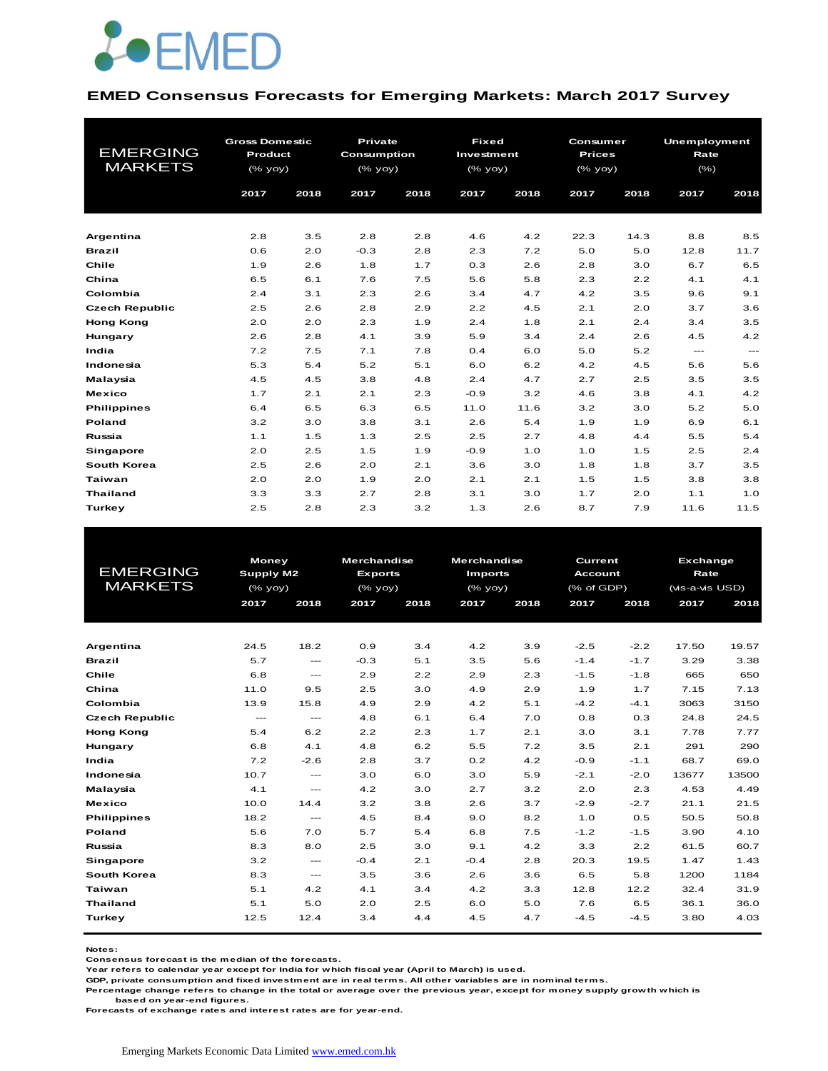

#### **EMED Consensus Forecasts for Emerging Markets: March 2017 Survey**

| <b>EMERGING</b><br><b>MARKETS</b> | <b>Gross Domestic</b><br>Product<br>$(\%$ yoy)<br>2017 | 2018 | Private<br><b>Consumption</b><br>$(%$ (% yoy)<br>2017 | 2018 | <b>Fixed</b><br>Investment<br>$(%$ (% yoy)<br>2017 | 2018 | Consumer<br><b>Prices</b><br>$(%$ (% yoy)<br>2017 | 2018 | Unemployment<br>Rate<br>(% )<br>2017 | 2018          |
|-----------------------------------|--------------------------------------------------------|------|-------------------------------------------------------|------|----------------------------------------------------|------|---------------------------------------------------|------|--------------------------------------|---------------|
| Argentina                         | 2.8                                                    | 3.5  | 2.8                                                   | 2.8  | 4.6                                                | 4.2  | 22.3                                              | 14.3 | 8.8                                  | 8.5           |
| <b>Brazil</b>                     | 0.6                                                    | 2.0  | $-0.3$                                                | 2.8  | 2.3                                                | 7.2  | 5.0                                               | 5.0  | 12.8                                 | 11.7          |
| Chile                             | 1.9                                                    | 2.6  | 1.8                                                   | 1.7  | 0.3                                                | 2.6  | 2.8                                               | 3.0  | 6.7                                  | 6.5           |
| China                             | 6.5                                                    | 6.1  | 7.6                                                   | 7.5  | 5.6                                                | 5.8  | 2.3                                               | 2.2  | 4.1                                  | 4.1           |
| Colombia                          | 2.4                                                    | 3.1  | 2.3                                                   | 2.6  | 3.4                                                | 4.7  | 4.2                                               | 3.5  | 9.6                                  | 9.1           |
| <b>Czech Republic</b>             | 2.5                                                    | 2.6  | 2.8                                                   | 2.9  | 2.2                                                | 4.5  | 2.1                                               | 2.0  | 3.7                                  | 3.6           |
| <b>Hong Kong</b>                  | 2.0                                                    | 2.0  | 2.3                                                   | 1.9  | 2.4                                                | 1.8  | 2.1                                               | 2.4  | 3.4                                  | 3.5           |
| Hungary                           | 2.6                                                    | 2.8  | 4.1                                                   | 3.9  | 5.9                                                | 3.4  | 2.4                                               | 2.6  | 4.5                                  | 4.2           |
| India                             | 7.2                                                    | 7.5  | 7.1                                                   | 7.8  | 0.4                                                | 6.0  | 5.0                                               | 5.2  | $\frac{1}{2}$                        | $\frac{1}{2}$ |
| Indonesia                         | 5.3                                                    | 5.4  | 5.2                                                   | 5.1  | 6.0                                                | 6.2  | 4.2                                               | 4.5  | 5.6                                  | 5.6           |
| Malaysia                          | 4.5                                                    | 4.5  | 3.8                                                   | 4.8  | 2.4                                                | 4.7  | 2.7                                               | 2.5  | 3.5                                  | 3.5           |
| <b>Mexico</b>                     | 1.7                                                    | 2.1  | 2.1                                                   | 2.3  | $-0.9$                                             | 3.2  | 4.6                                               | 3.8  | 4.1                                  | 4.2           |
| <b>Philippines</b>                | 6.4                                                    | 6.5  | 6.3                                                   | 6.5  | 11.0                                               | 11.6 | 3.2                                               | 3.0  | 5.2                                  | 5.0           |
| Poland                            | 3.2                                                    | 3.0  | 3.8                                                   | 3.1  | 2.6                                                | 5.4  | 1.9                                               | 1.9  | 6.9                                  | 6.1           |
| Russia                            | 1.1                                                    | 1.5  | 1.3                                                   | 2.5  | 2.5                                                | 2.7  | 4.8                                               | 4.4  | 5.5                                  | 5.4           |
| Singapore                         | 2.0                                                    | 2.5  | 1.5                                                   | 1.9  | $-0.9$                                             | 1.0  | 1.0                                               | 1.5  | 2.5                                  | 2.4           |
| South Korea                       | 2.5                                                    | 2.6  | 2.0                                                   | 2.1  | 3.6                                                | 3.0  | 1.8                                               | 1.8  | 3.7                                  | 3.5           |
| Taiwan                            | 2.0                                                    | 2.0  | 1.9                                                   | 2.0  | 2.1                                                | 2.1  | 1.5                                               | 1.5  | 3.8                                  | 3.8           |
| <b>Thailand</b>                   | 3.3                                                    | 3.3  | 2.7                                                   | 2.8  | 3.1                                                | 3.0  | 1.7                                               | 2.0  | 1.1                                  | 1.0           |
| Turkey                            | 2.5                                                    | 2.8  | 2.3                                                   | 3.2  | 1.3                                                | 2.6  | 8.7                                               | 7.9  | 11.6                                 | 11.5          |

|                       |           | <b>Money</b>  |                | <b>Merchandise</b> | <b>Merchandise</b> |      | Current        |        | <b>Exchange</b> |       |
|-----------------------|-----------|---------------|----------------|--------------------|--------------------|------|----------------|--------|-----------------|-------|
| <b>EMERGING</b>       | Supply M2 |               | <b>Exports</b> |                    | <b>Imports</b>     |      | <b>Account</b> |        | Rate            |       |
| <b>MARKETS</b>        |           | $(%$ (% yoy)  |                | $(\%$ yoy)         | (% yoy)            |      | (% of GDP)     |        | (vis-a-vis USD) |       |
|                       | 2017      | 2018          | 2017           | 2018               | 2017               | 2018 | 2017           | 2018   | 2017            | 2018  |
|                       |           |               |                |                    |                    |      |                |        |                 |       |
|                       |           |               |                |                    |                    |      |                |        |                 |       |
| Argentina             | 24.5      | 18.2          | 0.9            | 3.4                | 4.2                | 3.9  | $-2.5$         | $-2.2$ | 17.50           | 19.57 |
| <b>Brazil</b>         | 5.7       | $\cdots$      | $-0.3$         | 5.1                | 3.5                | 5.6  | $-1.4$         | $-1.7$ | 3.29            | 3.38  |
| Chile                 | 6.8       | $---$         | 2.9            | 2.2                | 2.9                | 2.3  | $-1.5$         | $-1.8$ | 665             | 650   |
| China                 | 11.0      | 9.5           | 2.5            | 3.0                | 4.9                | 2.9  | 1.9            | 1.7    | 7.15            | 7.13  |
| Colombia              | 13.9      | 15.8          | 4.9            | 2.9                | 4.2                | 5.1  | $-4.2$         | $-4.1$ | 3063            | 3150  |
| <b>Czech Republic</b> | $---$     | $\frac{1}{2}$ | 4.8            | 6.1                | 6.4                | 7.0  | 0.8            | 0.3    | 24.8            | 24.5  |
| <b>Hong Kong</b>      | 5.4       | 6.2           | 2.2            | 2.3                | 1.7                | 2.1  | 3.0            | 3.1    | 7.78            | 7.77  |
| Hungary               | 6.8       | 4.1           | 4.8            | 6.2                | 5.5                | 7.2  | 3.5            | 2.1    | 291             | 290   |
| India                 | 7.2       | $-2.6$        | 2.8            | 3.7                | 0.2                | 4.2  | $-0.9$         | $-1.1$ | 68.7            | 69.0  |
| Indonesia             | 10.7      | $---$         | 3.0            | 6.0                | 3.0                | 5.9  | $-2.1$         | $-2.0$ | 13677           | 13500 |
| Malaysia              | 4.1       | $\cdots$      | 4.2            | 3.0                | 2.7                | 3.2  | 2.0            | 2.3    | 4.53            | 4.49  |
| <b>Mexico</b>         | 10.0      | 14.4          | 3.2            | 3.8                | 2.6                | 3.7  | $-2.9$         | $-2.7$ | 21.1            | 21.5  |
| <b>Philippines</b>    | 18.2      | ---           | 4.5            | 8.4                | 9.0                | 8.2  | 1.0            | 0.5    | 50.5            | 50.8  |
| Poland                | 5.6       | 7.0           | 5.7            | 5.4                | 6.8                | 7.5  | $-1.2$         | $-1.5$ | 3.90            | 4.10  |
| Russia                | 8.3       | 8.0           | 2.5            | 3.0                | 9.1                | 4.2  | 3.3            | 2.2    | 61.5            | 60.7  |
| Singapore             | 3.2       | $\frac{1}{2}$ | $-0.4$         | 2.1                | $-0.4$             | 2.8  | 20.3           | 19.5   | 1.47            | 1.43  |
| South Korea           | 8.3       | $---$         | 3.5            | 3.6                | 2.6                | 3.6  | 6.5            | 5.8    | 1200            | 1184  |
| Taiwan                | 5.1       | 4.2           | 4.1            | 3.4                | 4.2                | 3.3  | 12.8           | 12.2   | 32.4            | 31.9  |
| <b>Thailand</b>       | 5.1       | 5.0           | 2.0            | 2.5                | 6.0                | 5.0  | 7.6            | 6.5    | 36.1            | 36.0  |
| Turkey                | 12.5      | 12.4          | 3.4            | 4.4                | 4.5                | 4.7  | $-4.5$         | $-4.5$ | 3.80            | 4.03  |
|                       |           |               |                |                    |                    |      |                |        |                 |       |

**Notes:** 

**Consensus forecast is the median of the forecasts.**

**Year refers to calendar year except for India for which fiscal year (April to March) is used.**

**GDP, private consumption and fixed investment are in real terms. All other variables are in nominal terms.**

**Percentage change refers to change in the total or average over the previous year, except for money supply growth which is based on year-end figures.**

**Forecasts of exchange rates and interest rates are for year-end.**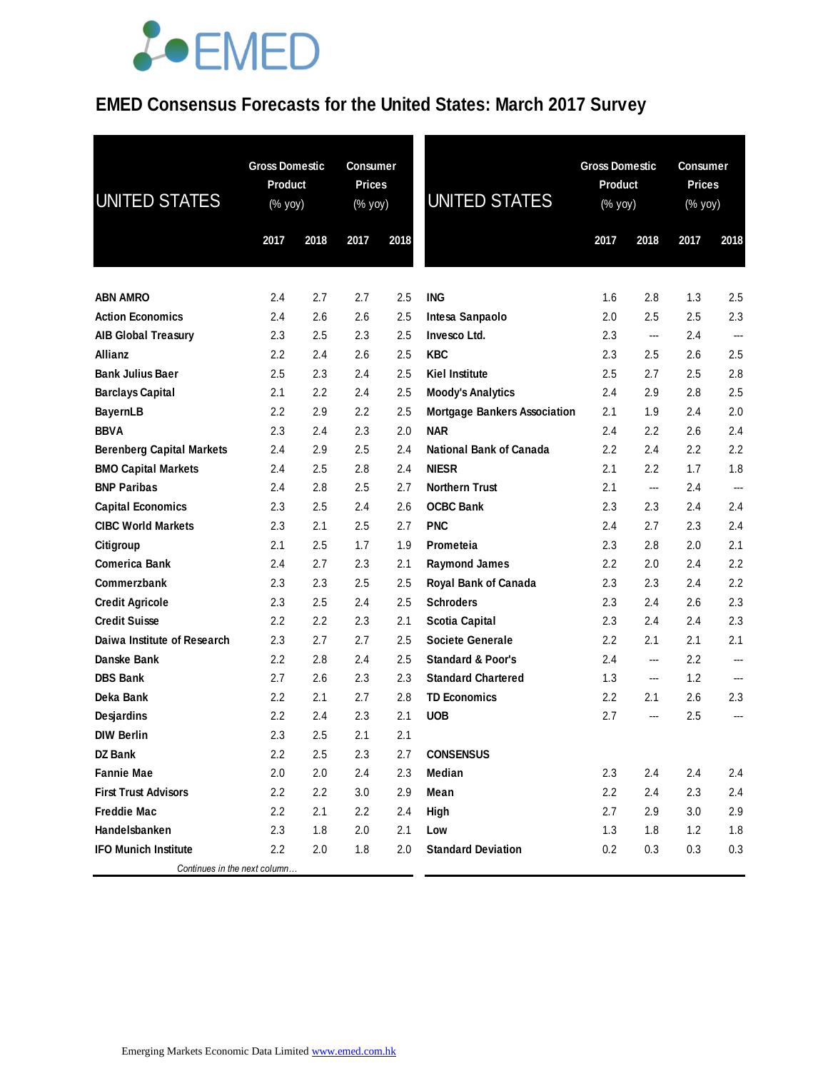## **JOEMED**

### **EMED Consensus Forecasts for the United States: March 2017 Survey**

| <b>UNITED STATES</b>             | <b>Gross Domestic</b><br><b>Product</b><br>(% yoy) | <b>Gross Domestic</b><br><b>Consumer</b><br><b>Prices</b><br>Product<br><b>UNITED STATES</b><br>(% yoy)<br>(% yoy) |      |      | <b>Consumer</b><br><b>Prices</b><br>(% yoy) |         |                          |         |      |
|----------------------------------|----------------------------------------------------|--------------------------------------------------------------------------------------------------------------------|------|------|---------------------------------------------|---------|--------------------------|---------|------|
|                                  | 2017                                               | 2018                                                                                                               | 2017 | 2018 |                                             | 2017    | 2018                     | 2017    | 2018 |
| <b>ABN AMRO</b>                  | 2.4                                                | 2.7                                                                                                                | 2.7  | 2.5  | <b>ING</b>                                  | 1.6     | 2.8                      | 1.3     | 2.5  |
| <b>Action Economics</b>          | 2.4                                                | 2.6                                                                                                                | 2.6  | 2.5  | Intesa Sanpaolo                             | 2.0     | 2.5                      | 2.5     | 2.3  |
| <b>AIB Global Treasury</b>       | 2.3                                                | 2.5                                                                                                                | 2.3  | 2.5  | Invesco Ltd.                                | 2.3     | $\overline{\phantom{a}}$ | 2.4     | ---  |
| <b>Allianz</b>                   | $2.2\phantom{0}$                                   | 2.4                                                                                                                | 2.6  | 2.5  | <b>KBC</b>                                  | 2.3     | 2.5                      | 2.6     | 2.5  |
| <b>Bank Julius Baer</b>          | 2.5                                                | 2.3                                                                                                                | 2.4  | 2.5  | <b>Kiel Institute</b>                       | 2.5     | 2.7                      | 2.5     | 2.8  |
| <b>Barclays Capital</b>          | 2.1                                                | 2.2                                                                                                                | 2.4  | 2.5  | <b>Moody's Analytics</b>                    | 2.4     | 2.9                      | 2.8     | 2.5  |
| <b>BayernLB</b>                  | 2.2                                                | 2.9                                                                                                                | 2.2  | 2.5  | <b>Mortgage Bankers Association</b>         | 2.1     | 1.9                      | 2.4     | 2.0  |
| <b>BBVA</b>                      | 2.3                                                | 2.4                                                                                                                | 2.3  | 2.0  | <b>NAR</b>                                  | 2.4     | 2.2                      | 2.6     | 2.4  |
| <b>Berenberg Capital Markets</b> | 2.4                                                | 2.9                                                                                                                | 2.5  | 2.4  | <b>National Bank of Canada</b>              | 2.2     | 2.4                      | 2.2     | 2.2  |
| <b>BMO Capital Markets</b>       | 2.4                                                | 2.5                                                                                                                | 2.8  | 2.4  | <b>NIESR</b>                                | 2.1     | 2.2                      | 1.7     | 1.8  |
| <b>BNP Paribas</b>               | 2.4                                                | 2.8                                                                                                                | 2.5  | 2.7  | <b>Northern Trust</b>                       | 2.1     | $\overline{\phantom{a}}$ | 2.4     | ---  |
| <b>Capital Economics</b>         | 2.3                                                | 2.5                                                                                                                | 2.4  | 2.6  | <b>OCBC Bank</b>                            | 2.3     | 2.3                      | 2.4     | 2.4  |
| <b>CIBC World Markets</b>        | 2.3                                                | 2.1                                                                                                                | 2.5  | 2.7  | <b>PNC</b>                                  | 2.4     | 2.7                      | 2.3     | 2.4  |
| Citigroup                        | 2.1                                                | 2.5                                                                                                                | 1.7  | 1.9  | Prometeia                                   | 2.3     | 2.8                      | 2.0     | 2.1  |
| <b>Comerica Bank</b>             | 2.4                                                | 2.7                                                                                                                | 2.3  | 2.1  | <b>Raymond James</b>                        | $2.2\,$ | 2.0                      | 2.4     | 2.2  |
| Commerzbank                      | 2.3                                                | 2.3                                                                                                                | 2.5  | 2.5  | Royal Bank of Canada                        | 2.3     | 2.3                      | 2.4     | 2.2  |
| <b>Credit Agricole</b>           | 2.3                                                | 2.5                                                                                                                | 2.4  | 2.5  | <b>Schroders</b>                            | 2.3     | 2.4                      | 2.6     | 2.3  |
| <b>Credit Suisse</b>             | 2.2                                                | 2.2                                                                                                                | 2.3  | 2.1  | <b>Scotia Capital</b>                       | 2.3     | 2.4                      | 2.4     | 2.3  |
| Daiwa Institute of Research      | 2.3                                                | 2.7                                                                                                                | 2.7  | 2.5  | <b>Societe Generale</b>                     | 2.2     | 2.1                      | 2.1     | 2.1  |
| Danske Bank                      | 2.2                                                | 2.8                                                                                                                | 2.4  | 2.5  | <b>Standard &amp; Poor's</b>                | 2.4     | ---                      | $2.2\,$ | ---  |
| <b>DBS Bank</b>                  | 2.7                                                | 2.6                                                                                                                | 2.3  | 2.3  | <b>Standard Chartered</b>                   | 1.3     | ---                      | 1.2     | ---  |
| Deka Bank                        | 2.2                                                | 2.1                                                                                                                | 2.7  | 2.8  | <b>TD Economics</b>                         | $2.2\,$ | 2.1                      | 2.6     | 2.3  |
| <b>Desjardins</b>                | 2.2                                                | 2.4                                                                                                                | 2.3  | 2.1  | <b>UOB</b>                                  | 2.7     | ---                      | 2.5     | ---  |
| <b>DIW Berlin</b>                | 2.3                                                | 2.5                                                                                                                | 2.1  | 2.1  |                                             |         |                          |         |      |
| <b>DZ Bank</b>                   | 2.2                                                | 2.5                                                                                                                | 2.3  | 2.7  | <b>CONSENSUS</b>                            |         |                          |         |      |
| <b>Fannie Mae</b>                | 2.0                                                | 2.0                                                                                                                | 2.4  | 2.3  | Median                                      | 2.3     | 2.4                      | 2.4     | 2.4  |
| <b>First Trust Advisors</b>      | $2.2\,$                                            | 2.2                                                                                                                | 3.0  | 2.9  | Mean                                        | 2.2     | 2.4                      | 2.3     | 2.4  |
| <b>Freddie Mac</b>               | 2.2                                                | 2.1                                                                                                                | 2.2  | 2.4  | High                                        | 2.7     | 2.9                      | 3.0     | 2.9  |
| Handelsbanken                    | 2.3                                                | 1.8                                                                                                                | 2.0  | 2.1  | Low                                         | 1.3     | 1.8                      | 1.2     | 1.8  |
| <b>IFO Munich Institute</b>      | 2.2                                                | 2.0                                                                                                                | 1.8  | 2.0  | <b>Standard Deviation</b>                   | 0.2     | 0.3                      | 0.3     | 0.3  |
| Continues in the next column     |                                                    |                                                                                                                    |      |      |                                             |         |                          |         |      |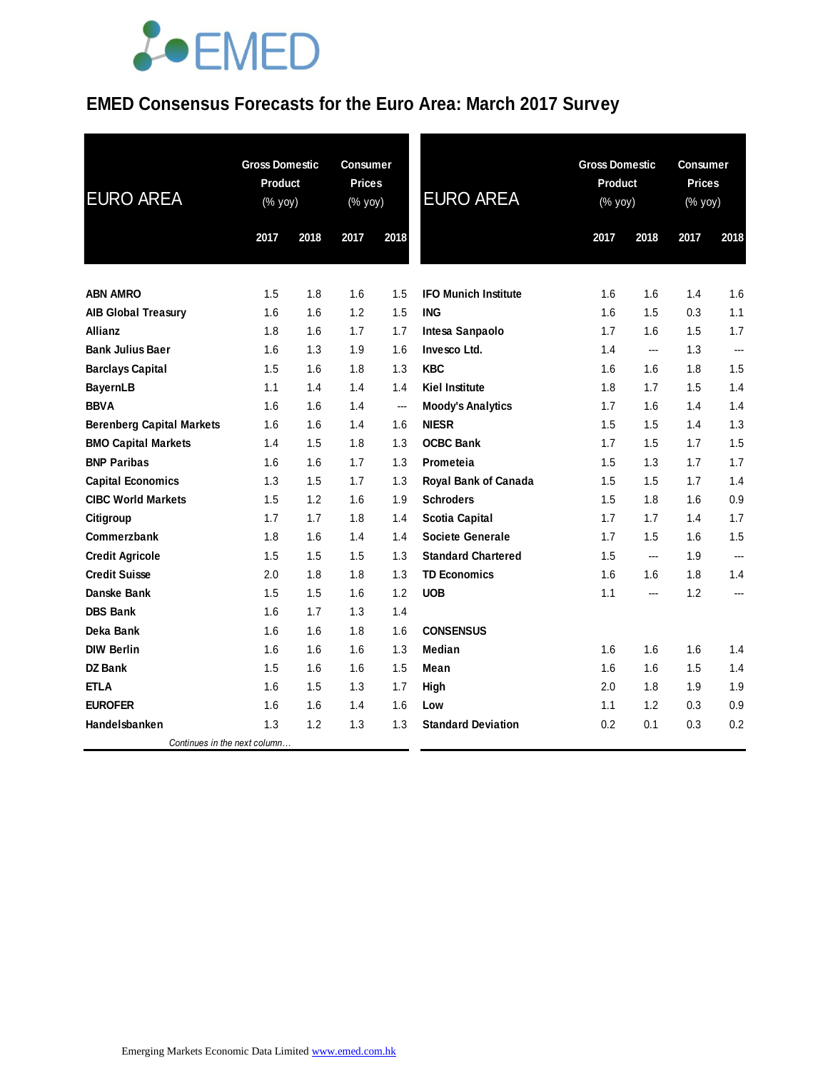## **JOEMED**

### **EMED Consensus Forecasts for the Euro Area: March 2017 Survey**

| <b>EURO AREA</b>                 | <b>Gross Domestic</b><br>Product<br>(% yoy) |      | <b>Consumer</b><br><b>Prices</b><br>(% yoy) |      | <b>EURO AREA</b>            |      | <b>Gross Domestic</b><br><b>Product</b><br>(% yoy) |      | <b>Consumer</b><br><b>Prices</b><br>(% yoy) |  |
|----------------------------------|---------------------------------------------|------|---------------------------------------------|------|-----------------------------|------|----------------------------------------------------|------|---------------------------------------------|--|
|                                  | 2017                                        | 2018 | 2017                                        | 2018 |                             | 2017 | 2018                                               | 2017 | 2018                                        |  |
| <b>ABN AMRO</b>                  | 1.5                                         | 1.8  | 1.6                                         | 1.5  | <b>IFO Munich Institute</b> | 1.6  | 1.6                                                | 1.4  | 1.6                                         |  |
| <b>AIB Global Treasury</b>       | 1.6                                         | 1.6  | 1.2                                         | 1.5  | <b>ING</b>                  | 1.6  | 1.5                                                | 0.3  | 1.1                                         |  |
| <b>Allianz</b>                   | 1.8                                         | 1.6  | 1.7                                         | 1.7  | Intesa Sanpaolo             | 1.7  | 1.6                                                | 1.5  | 1.7                                         |  |
| <b>Bank Julius Baer</b>          | 1.6                                         | 1.3  | 1.9                                         | 1.6  | Invesco Ltd.                | 1.4  | $\overline{\phantom{a}}$                           | 1.3  | ---                                         |  |
| <b>Barclays Capital</b>          | 1.5                                         | 1.6  | 1.8                                         | 1.3  | <b>KBC</b>                  | 1.6  | 1.6                                                | 1.8  | 1.5                                         |  |
| <b>BayernLB</b>                  | 1.1                                         | 1.4  | 1.4                                         | 1.4  | <b>Kiel Institute</b>       | 1.8  | 1.7                                                | 1.5  | 1.4                                         |  |
| <b>BBVA</b>                      | 1.6                                         | 1.6  | 1.4                                         | ---  | <b>Moody's Analytics</b>    | 1.7  | 1.6                                                | 1.4  | 1.4                                         |  |
| <b>Berenberg Capital Markets</b> | 1.6                                         | 1.6  | 1.4                                         | 1.6  | <b>NIESR</b>                | 1.5  | 1.5                                                | 1.4  | 1.3                                         |  |
| <b>BMO Capital Markets</b>       | 1.4                                         | 1.5  | 1.8                                         | 1.3  | <b>OCBC Bank</b>            | 1.7  | 1.5                                                | 1.7  | 1.5                                         |  |
| <b>BNP Paribas</b>               | 1.6                                         | 1.6  | 1.7                                         | 1.3  | Prometeia                   | 1.5  | 1.3                                                | 1.7  | 1.7                                         |  |
| <b>Capital Economics</b>         | 1.3                                         | 1.5  | 1.7                                         | 1.3  | Royal Bank of Canada        | 1.5  | 1.5                                                | 1.7  | 1.4                                         |  |
| <b>CIBC World Markets</b>        | 1.5                                         | 1.2  | 1.6                                         | 1.9  | <b>Schroders</b>            | 1.5  | 1.8                                                | 1.6  | 0.9                                         |  |
| Citigroup                        | 1.7                                         | 1.7  | 1.8                                         | 1.4  | <b>Scotia Capital</b>       | 1.7  | 1.7                                                | 1.4  | 1.7                                         |  |
| Commerzbank                      | 1.8                                         | 1.6  | 1.4                                         | 1.4  | <b>Societe Generale</b>     | 1.7  | 1.5                                                | 1.6  | 1.5                                         |  |
| <b>Credit Agricole</b>           | 1.5                                         | 1.5  | 1.5                                         | 1.3  | <b>Standard Chartered</b>   | 1.5  | ---                                                | 1.9  | ---                                         |  |
| <b>Credit Suisse</b>             | 2.0                                         | 1.8  | 1.8                                         | 1.3  | <b>TD Economics</b>         | 1.6  | 1.6                                                | 1.8  | 1.4                                         |  |
| Danske Bank                      | 1.5                                         | 1.5  | 1.6                                         | 1.2  | <b>UOB</b>                  | 1.1  | ---                                                | 1.2  | ---                                         |  |
| <b>DBS Bank</b>                  | 1.6                                         | 1.7  | 1.3                                         | 1.4  |                             |      |                                                    |      |                                             |  |
| Deka Bank                        | 1.6                                         | 1.6  | 1.8                                         | 1.6  | <b>CONSENSUS</b>            |      |                                                    |      |                                             |  |
| <b>DIW Berlin</b>                | 1.6                                         | 1.6  | 1.6                                         | 1.3  | <b>Median</b>               | 1.6  | 1.6                                                | 1.6  | 1.4                                         |  |
| <b>DZ Bank</b>                   | 1.5                                         | 1.6  | 1.6                                         | 1.5  | Mean                        | 1.6  | 1.6                                                | 1.5  | 1.4                                         |  |
| <b>ETLA</b>                      | 1.6                                         | 1.5  | 1.3                                         | 1.7  | High                        | 2.0  | 1.8                                                | 1.9  | 1.9                                         |  |
| <b>EUROFER</b>                   | 1.6                                         | 1.6  | 1.4                                         | 1.6  | Low                         | 1.1  | 1.2                                                | 0.3  | 0.9                                         |  |
| Handelsbanken                    | 1.3                                         | 1.2  | 1.3                                         | 1.3  | <b>Standard Deviation</b>   | 0.2  | 0.1                                                | 0.3  | 0.2                                         |  |
| Continues in the next column     |                                             |      |                                             |      |                             |      |                                                    |      |                                             |  |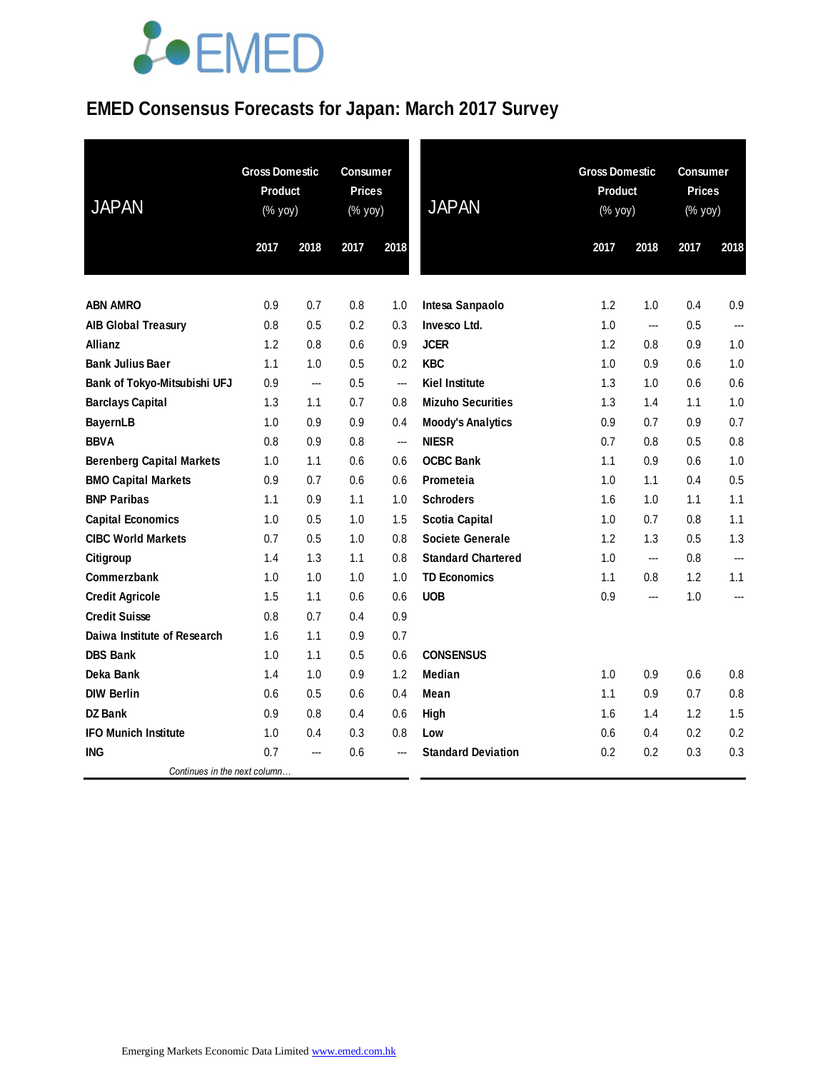# LOEMED

### **EMED Consensus Forecasts for Japan: March 2017 Survey**

| <b>JAPAN</b>                     | <b>Gross Domestic</b><br>Product<br>(% yoy) |                | <b>Consumer</b><br><b>Prices</b><br>(% yoy) |                          | <b>JAPAN</b>              | <b>Gross Domestic</b><br>Product<br>(% yoy) |                | Consumer<br><b>Prices</b><br>(% yoy) | 2018           |  |
|----------------------------------|---------------------------------------------|----------------|---------------------------------------------|--------------------------|---------------------------|---------------------------------------------|----------------|--------------------------------------|----------------|--|
|                                  | 2017                                        | 2018           | 2017                                        | 2018                     |                           | 2017                                        | 2018           | 2017                                 |                |  |
|                                  |                                             |                |                                             |                          |                           |                                             |                |                                      |                |  |
| <b>ABN AMRO</b>                  | 0.9                                         | 0.7            | 0.8                                         | 1.0                      | Intesa Sanpaolo           | 1.2                                         | 1.0            | 0.4                                  | 0.9            |  |
| <b>AIB Global Treasury</b>       | 0.8                                         | 0.5            | 0.2                                         | 0.3                      | Invesco Ltd.              | 1.0                                         | ---            | 0.5                                  | ---            |  |
| <b>Allianz</b>                   | 1.2                                         | 0.8            | 0.6                                         | 0.9                      | <b>JCER</b>               | 1.2                                         | 0.8            | 0.9                                  | 1.0            |  |
| <b>Bank Julius Baer</b>          | 1.1                                         | 1.0            | 0.5                                         | 0.2                      | <b>KBC</b>                | 1.0                                         | 0.9            | 0.6                                  | 1.0            |  |
| Bank of Tokyo-Mitsubishi UFJ     | 0.9                                         | ---            | 0.5                                         | $\overline{\phantom{a}}$ | <b>Kiel Institute</b>     | 1.3                                         | 1.0            | 0.6                                  | 0.6            |  |
| <b>Barclays Capital</b>          | 1.3                                         | 1.1            | 0.7                                         | 0.8                      | <b>Mizuho Securities</b>  | 1.3                                         | 1.4            | 1.1                                  | 1.0            |  |
| <b>BayernLB</b>                  | 1.0                                         | 0.9            | 0.9                                         | 0.4                      | <b>Moody's Analytics</b>  | 0.9                                         | 0.7            | 0.9                                  | 0.7            |  |
| <b>BBVA</b>                      | 0.8                                         | 0.9            | 0.8                                         | ---                      | <b>NIESR</b>              | 0.7                                         | 0.8            | 0.5                                  | 0.8            |  |
| <b>Berenberg Capital Markets</b> | 1.0                                         | 1.1            | 0.6                                         | 0.6                      | <b>OCBC Bank</b>          | 1.1                                         | 0.9            | 0.6                                  | 1.0            |  |
| <b>BMO Capital Markets</b>       | 0.9                                         | 0.7            | 0.6                                         | 0.6                      | Prometeia                 | 1.0                                         | 1.1            | 0.4                                  | 0.5            |  |
| <b>BNP Paribas</b>               | 1.1                                         | 0.9            | 1.1                                         | 1.0                      | <b>Schroders</b>          | 1.6                                         | 1.0            | 1.1                                  | 1.1            |  |
| <b>Capital Economics</b>         | 1.0                                         | 0.5            | 1.0                                         | 1.5                      | <b>Scotia Capital</b>     | 1.0                                         | 0.7            | 0.8                                  | 1.1            |  |
| <b>CIBC World Markets</b>        | 0.7                                         | 0.5            | 1.0                                         | 0.8                      | <b>Societe Generale</b>   | 1.2                                         | 1.3            | 0.5                                  | 1.3            |  |
| Citigroup                        | 1.4                                         | 1.3            | 1.1                                         | 0.8                      | <b>Standard Chartered</b> | 1.0                                         | $\overline{a}$ | 0.8                                  | $\overline{a}$ |  |
| Commerzbank                      | 1.0                                         | 1.0            | 1.0                                         | 1.0                      | <b>TD Economics</b>       | 1.1                                         | 0.8            | 1.2                                  | 1.1            |  |
| <b>Credit Agricole</b>           | 1.5                                         | 1.1            | 0.6                                         | 0.6                      | <b>UOB</b>                | 0.9                                         | ---            | 1.0                                  | ---            |  |
| <b>Credit Suisse</b>             | 0.8                                         | 0.7            | 0.4                                         | 0.9                      |                           |                                             |                |                                      |                |  |
| Daiwa Institute of Research      | 1.6                                         | 1.1            | 0.9                                         | 0.7                      |                           |                                             |                |                                      |                |  |
| <b>DBS Bank</b>                  | 1.0                                         | 1.1            | 0.5                                         | 0.6                      | <b>CONSENSUS</b>          |                                             |                |                                      |                |  |
| Deka Bank                        | 1.4                                         | 1.0            | 0.9                                         | 1.2                      | <b>Median</b>             | 1.0                                         | 0.9            | 0.6                                  | 0.8            |  |
| <b>DIW Berlin</b>                | 0.6                                         | 0.5            | 0.6                                         | 0.4                      | Mean                      | 1.1                                         | 0.9            | 0.7                                  | 0.8            |  |
| <b>DZ Bank</b>                   | 0.9                                         | 0.8            | 0.4                                         | 0.6                      | High                      | 1.6                                         | 1.4            | 1.2                                  | 1.5            |  |
| <b>IFO Munich Institute</b>      | 1.0                                         | 0.4            | 0.3                                         | 0.8                      | Low                       | 0.6                                         | 0.4            | 0.2                                  | 0.2            |  |
| ING                              | 0.7                                         | $\overline{a}$ | 0.6                                         |                          | <b>Standard Deviation</b> | 0.2                                         | 0.2            | 0.3                                  | 0.3            |  |
| Continues in the next column     |                                             |                |                                             |                          |                           |                                             |                |                                      |                |  |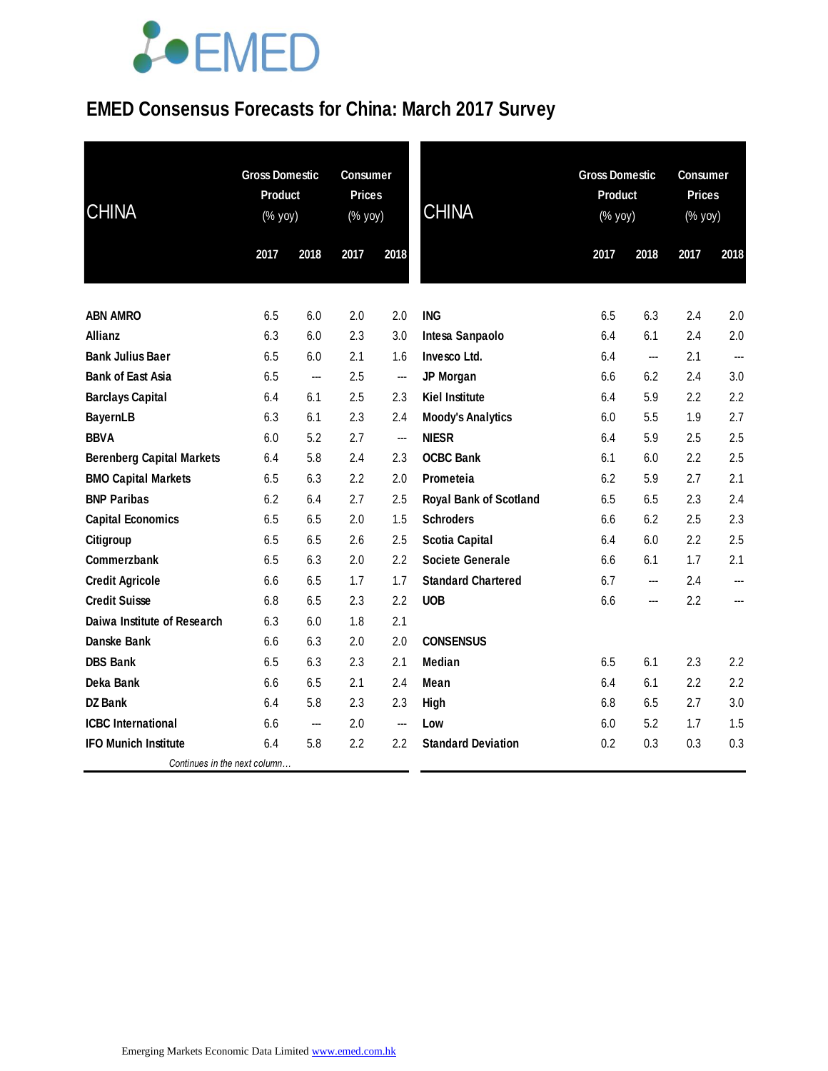# **JOEMED**

### **EMED Consensus Forecasts for China: March 2017 Survey**

| <b>CHINA</b>                     | <b>Gross Domestic</b><br>Product<br>(% yoy) |      | <b>Consumer</b><br><b>Prices</b><br>$(% \mathsf{Y}^{\prime }\mathsf{Y}^{\prime }\mathsf{Y}^{\prime })$ |      | <b>CHINA</b>                  | <b>Gross Domestic</b><br>Product<br>(% yoy) |      | <b>Consumer</b><br><b>Prices</b><br>(% yoy) |                          |
|----------------------------------|---------------------------------------------|------|--------------------------------------------------------------------------------------------------------|------|-------------------------------|---------------------------------------------|------|---------------------------------------------|--------------------------|
|                                  | 2017                                        | 2018 | 2017                                                                                                   | 2018 |                               | 2017                                        | 2018 | 2017                                        | 2018                     |
| <b>ABN AMRO</b>                  | 6.5                                         | 6.0  | 2.0                                                                                                    | 2.0  | <b>ING</b>                    | 6.5                                         | 6.3  | 2.4                                         | 2.0                      |
| Allianz                          | 6.3                                         | 6.0  | 2.3                                                                                                    | 3.0  | Intesa Sanpaolo               | 6.4                                         | 6.1  | 2.4                                         | 2.0                      |
| <b>Bank Julius Baer</b>          | 6.5                                         | 6.0  | 2.1                                                                                                    | 1.6  | Invesco Ltd.                  | 6.4                                         | ---  | 2.1                                         | $\overline{\phantom{a}}$ |
| <b>Bank of East Asia</b>         | 6.5                                         | ---  | 2.5                                                                                                    | ---  | JP Morgan                     | 6.6                                         | 6.2  | 2.4                                         | 3.0                      |
| <b>Barclays Capital</b>          | 6.4                                         | 6.1  | 2.5                                                                                                    | 2.3  | <b>Kiel Institute</b>         | 6.4                                         | 5.9  | 2.2                                         | 2.2                      |
| <b>BayernLB</b>                  | 6.3                                         | 6.1  | 2.3                                                                                                    | 2.4  | <b>Moody's Analytics</b>      | 6.0                                         | 5.5  | 1.9                                         | 2.7                      |
| <b>BBVA</b>                      | 6.0                                         | 5.2  | 2.7                                                                                                    | ---  | <b>NIESR</b>                  | 6.4                                         | 5.9  | 2.5                                         | 2.5                      |
| <b>Berenberg Capital Markets</b> | 6.4                                         | 5.8  | 2.4                                                                                                    | 2.3  | <b>OCBC Bank</b>              | 6.1                                         | 6.0  | 2.2                                         | 2.5                      |
| <b>BMO Capital Markets</b>       | 6.5                                         | 6.3  | 2.2                                                                                                    | 2.0  | Prometeia                     | 6.2                                         | 5.9  | 2.7                                         | 2.1                      |
| <b>BNP Paribas</b>               | 6.2                                         | 6.4  | 2.7                                                                                                    | 2.5  | <b>Royal Bank of Scotland</b> | 6.5                                         | 6.5  | 2.3                                         | 2.4                      |
| <b>Capital Economics</b>         | 6.5                                         | 6.5  | 2.0                                                                                                    | 1.5  | <b>Schroders</b>              | 6.6                                         | 6.2  | 2.5                                         | 2.3                      |
| Citigroup                        | 6.5                                         | 6.5  | 2.6                                                                                                    | 2.5  | <b>Scotia Capital</b>         | 6.4                                         | 6.0  | 2.2                                         | 2.5                      |
| Commerzbank                      | 6.5                                         | 6.3  | 2.0                                                                                                    | 2.2  | Societe Generale              | 6.6                                         | 6.1  | 1.7                                         | 2.1                      |
| <b>Credit Agricole</b>           | 6.6                                         | 6.5  | 1.7                                                                                                    | 1.7  | <b>Standard Chartered</b>     | 6.7                                         | ---  | 2.4                                         | ---                      |
| <b>Credit Suisse</b>             | 6.8                                         | 6.5  | 2.3                                                                                                    | 2.2  | <b>UOB</b>                    | 6.6                                         | ---  | 2.2                                         | ---                      |
| Daiwa Institute of Research      | 6.3                                         | 6.0  | 1.8                                                                                                    | 2.1  |                               |                                             |      |                                             |                          |
| Danske Bank                      | 6.6                                         | 6.3  | 2.0                                                                                                    | 2.0  | <b>CONSENSUS</b>              |                                             |      |                                             |                          |
| <b>DBS Bank</b>                  | 6.5                                         | 6.3  | 2.3                                                                                                    | 2.1  | Median                        | 6.5                                         | 6.1  | 2.3                                         | 2.2                      |
| Deka Bank                        | 6.6                                         | 6.5  | 2.1                                                                                                    | 2.4  | Mean                          | 6.4                                         | 6.1  | 2.2                                         | 2.2                      |
| <b>DZ Bank</b>                   | 6.4                                         | 5.8  | 2.3                                                                                                    | 2.3  | High                          | 6.8                                         | 6.5  | 2.7                                         | 3.0                      |
| <b>ICBC</b> International        | 6.6                                         | ---  | 2.0                                                                                                    | ---  | Low                           | 6.0                                         | 5.2  | 1.7                                         | 1.5                      |
| <b>IFO Munich Institute</b>      | 6.4                                         | 5.8  | 2.2                                                                                                    | 2.2  | <b>Standard Deviation</b>     | 0.2                                         | 0.3  | 0.3                                         | 0.3                      |
| Continues in the next column     |                                             |      |                                                                                                        |      |                               |                                             |      |                                             |                          |